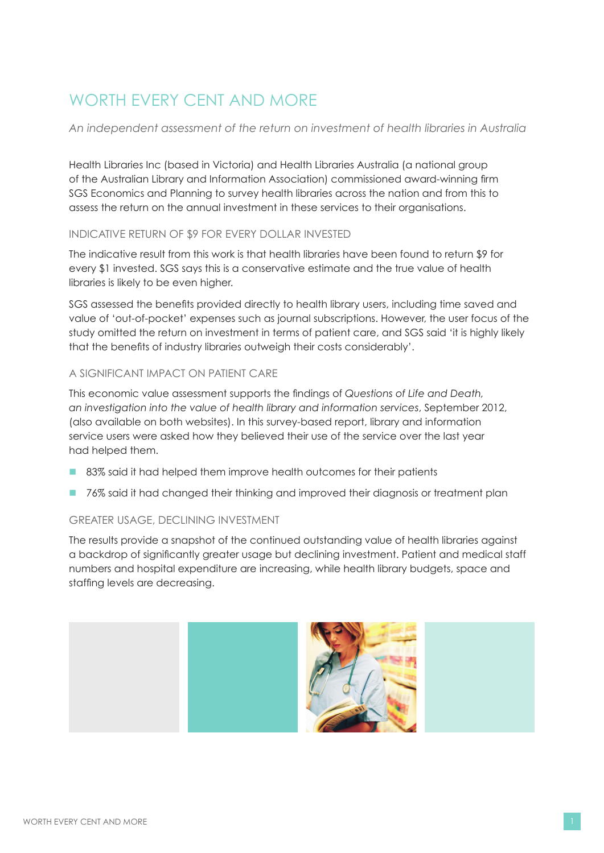# WORTH EVERY CENT AND MORE

## *An independent assessment of the return on investment of health libraries in Australia*

Health Libraries Inc (based in Victoria) and Health Libraries Australia (a national group of the Australian Library and Information Association) commissioned award-winning firm SGS Economics and Planning to survey health libraries across the nation and from this to assess the return on the annual investment in these services to their organisations.

### INDICATIVE RETURN OF \$9 FOR EVERY DOLLAR INVESTED

The indicative result from this work is that health libraries have been found to return \$9 for every \$1 invested. SGS says this is a conservative estimate and the true value of health libraries is likely to be even higher.

SGS assessed the benefits provided directly to health library users, including time saved and value of 'out-of-pocket' expenses such as journal subscriptions. However, the user focus of the study omitted the return on investment in terms of patient care, and SGS said 'it is highly likely that the benefits of industry libraries outweigh their costs considerably'.

### A SIGNIFICANT IMPACT ON PATIENT CARE

This economic value assessment supports the findings of *Questions of Life and Death, an investigation into the value of health library and information services*, September 2012, (also available on both websites). In this survey-based report, library and information service users were asked how they believed their use of the service over the last year had helped them.

- 83% said it had helped them improve health outcomes for their patients
- 76% said it had changed their thinking and improved their diagnosis or treatment plan

#### GREATER USAGE, DECLINING INVESTMENT

The results provide a snapshot of the continued outstanding value of health libraries against a backdrop of significantly greater usage but declining investment. Patient and medical staff numbers and hospital expenditure are increasing, while health library budgets, space and staffing levels are decreasing.

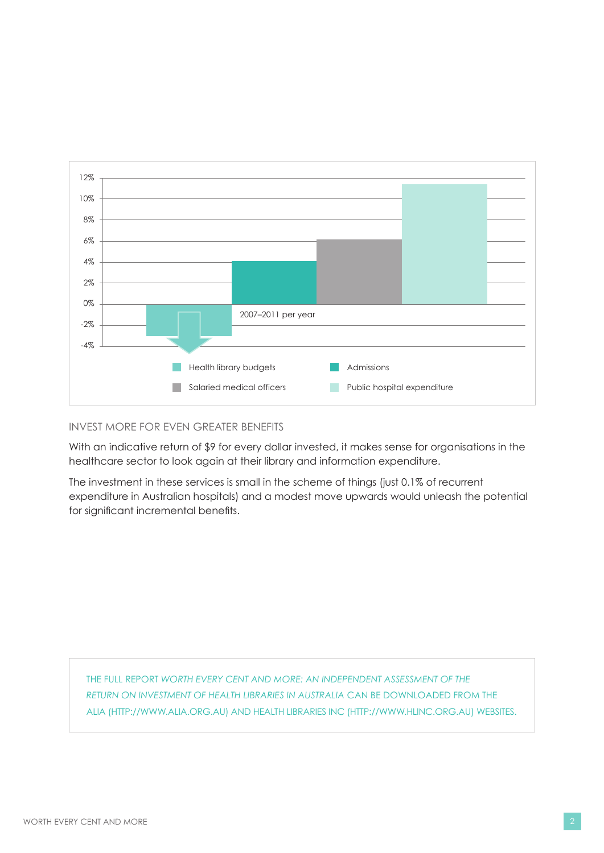

#### INVEST MORE FOR EVEN GREATER BENEFITS

With an indicative return of \$9 for every dollar invested, it makes sense for organisations in the healthcare sector to look again at their library and information expenditure.

The investment in these services is small in the scheme of things (just 0.1% of recurrent expenditure in Australian hospitals) and a modest move upwards would unleash the potential for significant incremental benefits.

THE FULL REPORT *WORTH EVERY CENT AND MORE: AN INDEPENDENT ASSESSMENT OF THE RETURN ON INVESTMENT OF HEALTH LIBRARIES IN AUSTRALIA* CAN BE DOWNLOADED FROM THE ALIA (HTTP://WWW.ALIA.ORG.AU) AND HEALTH LIBRARIES INC (HTTP://WWW.HLINC.ORG.AU) WEBSITES.